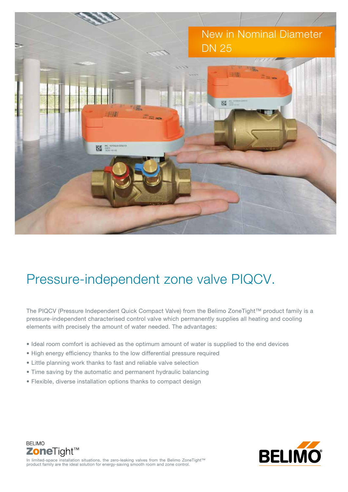

## Pressure-independent zone valve PIQCV.

The PIQCV (Pressure Independent Quick Compact Valve) from the Belimo ZoneTight™ product family is a pressure-independent characterised control valve which permanently supplies all heating and cooling elements with precisely the amount of water needed. The advantages:

- Ideal room comfort is achieved as the optimum amount of water is supplied to the end devices
- High energy efficiency thanks to the low differential pressure required
- Little planning work thanks to fast and reliable valve selection
- Time saving by the automatic and permanent hydraulic balancing
- Flexible, diverse installation options thanks to compact design



ZoneTight<sup>™</sup> In limited-space installation situations, the zero-leaking valves from the Belimo ZoneTight™ product family are the ideal solution for energy-saving smooth room and zone control.

**BELIMO**